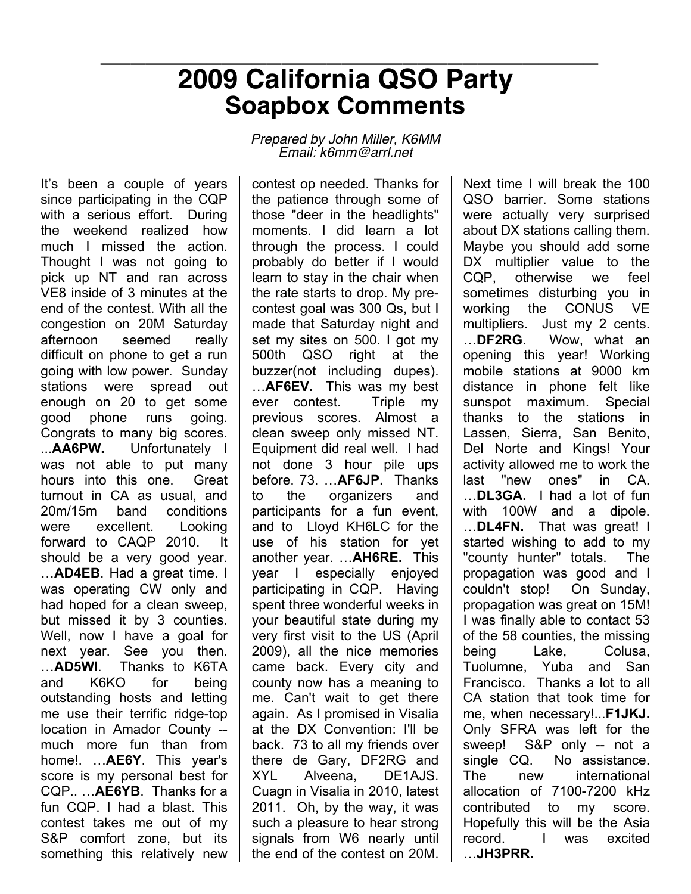## **\_\_\_\_\_\_\_\_\_\_\_\_\_\_\_\_\_\_\_\_\_\_\_\_\_\_\_\_\_\_\_\_\_ 2009 California QSO Party Soapbox Comments**

*Prepared by John Miller, K6MM Email: k6mm@arrl.net*

It's been a couple of years since participating in the CQP with a serious effort. During the weekend realized how much I missed the action. Thought I was not going to pick up NT and ran across VE8 inside of 3 minutes at the end of the contest. With all the congestion on 20M Saturday afternoon seemed really difficult on phone to get a run going with low power. Sunday stations were spread out enough on 20 to get some good phone runs going. Congrats to many big scores. ...**AA6PW.** Unfortunately I was not able to put many hours into this one. Great turnout in CA as usual, and 20m/15m band conditions were excellent. Looking forward to CAQP 2010. It should be a very good year. …**AD4EB**. Had a great time. I was operating CW only and had hoped for a clean sweep, but missed it by 3 counties. Well, now I have a goal for next year. See you then. …**AD5WI**. Thanks to K6TA and K6KO for being outstanding hosts and letting me use their terrific ridge-top location in Amador County - much more fun than from home!. …**AE6Y**. This year's score is my personal best for CQP.. …**AE6YB**. Thanks for a fun CQP. I had a blast. This contest takes me out of my S&P comfort zone, but its something this relatively new

contest op needed. Thanks for the patience through some of those "deer in the headlights" moments. I did learn a lot through the process. I could probably do better if I would learn to stay in the chair when the rate starts to drop. My precontest goal was 300 Qs, but I made that Saturday night and set my sites on 500. I got my 500th QSO right at the buzzer(not including dupes). …**AF6EV.** This was my best ever contest. Triple my previous scores. Almost a clean sweep only missed NT. Equipment did real well. I had not done 3 hour pile ups before. 73. …**AF6JP.** Thanks to the organizers and participants for a fun event, and to Lloyd KH6LC for the use of his station for yet another year. …**AH6RE.** This year I especially enjoyed participating in CQP. Having spent three wonderful weeks in your beautiful state during my very first visit to the US (April 2009), all the nice memories came back. Every city and county now has a meaning to me. Can't wait to get there again. As I promised in Visalia at the DX Convention: I'll be back. 73 to all my friends over there de Gary, DF2RG and XYL Alveena, DE1AJS. Cuagn in Visalia in 2010, latest 2011. Oh, by the way, it was such a pleasure to hear strong signals from W6 nearly until the end of the contest on 20M.

Next time I will break the 100 QSO barrier. Some stations were actually very surprised about DX stations calling them. Maybe you should add some DX multiplier value to the CQP, otherwise we feel sometimes disturbing you in working the CONUS VE multipliers. Just my 2 cents. …**DF2RG**. Wow, what an opening this year! Working mobile stations at 9000 km distance in phone felt like sunspot maximum. Special thanks to the stations in Lassen, Sierra, San Benito, Del Norte and Kings! Your activity allowed me to work the last "new ones" in CA. …**DL3GA.** I had a lot of fun with 100W and a dipole. …**DL4FN.** That was great! I started wishing to add to my "county hunter" totals. The propagation was good and I couldn't stop! On Sunday, propagation was great on 15M! I was finally able to contact 53 of the 58 counties, the missing being Lake, Colusa, Tuolumne, Yuba and San Francisco. Thanks a lot to all CA station that took time for me, when necessary!...**F1JKJ.**  Only SFRA was left for the sweep! S&P only -- not a single CQ. No assistance. The new international allocation of 7100-7200 kHz contributed to my score. Hopefully this will be the Asia record. I was excited …**JH3PRR.**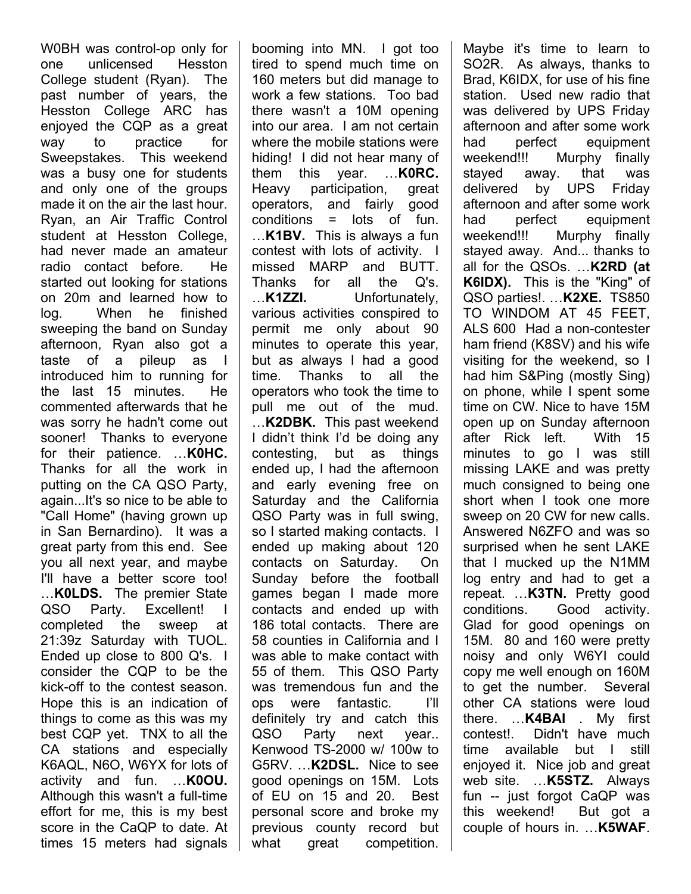W0BH was control-op only for one unlicensed Hesston College student (Ryan). The past number of years, the Hesston College ARC has enjoyed the CQP as a great way to practice for Sweepstakes. This weekend was a busy one for students and only one of the groups made it on the air the last hour. Ryan, an Air Traffic Control student at Hesston College, had never made an amateur radio contact before. He started out looking for stations on 20m and learned how to log. When he finished sweeping the band on Sunday afternoon, Ryan also got a taste of a pileup as I introduced him to running for the last 15 minutes. He commented afterwards that he was sorry he hadn't come out sooner! Thanks to everyone for their patience. …**K0HC.**  Thanks for all the work in putting on the CA QSO Party, again...It's so nice to be able to "Call Home" (having grown up in San Bernardino). It was a great party from this end. See you all next year, and maybe I'll have a better score too! …**K0LDS.** The premier State QSO Party. Excellent! I completed the sweep at 21:39z Saturday with TUOL. Ended up close to 800 Q's. I consider the CQP to be the kick-off to the contest season. Hope this is an indication of things to come as this was my best CQP yet. TNX to all the CA stations and especially K6AQL, N6O, W6YX for lots of activity and fun. …**K0OU.**  Although this wasn't a full-time effort for me, this is my best score in the CaQP to date. At times 15 meters had signals booming into MN. I got too tired to spend much time on 160 meters but did manage to work a few stations. Too bad there wasn't a 10M opening into our area. I am not certain where the mobile stations were hiding! I did not hear many of them this year. …**K0RC.**  Heavy participation, great operators, and fairly good conditions = lots of fun. …**K1BV.** This is always a fun contest with lots of activity. I missed MARP and BUTT. Thanks for all the Q's. …**K1ZZI.** Unfortunately, various activities conspired to permit me only about 90 minutes to operate this year, but as always I had a good time. Thanks to all the operators who took the time to pull me out of the mud. …**K2DBK.** This past weekend I didn't think I'd be doing any contesting, but as things ended up, I had the afternoon and early evening free on Saturday and the California QSO Party was in full swing, so I started making contacts. I ended up making about 120 contacts on Saturday. On Sunday before the football games began I made more contacts and ended up with 186 total contacts. There are 58 counties in California and I was able to make contact with 55 of them. This QSO Party was tremendous fun and the ops were fantastic. I'll definitely try and catch this QSO Party next year.. Kenwood TS-2000 w/ 100w to G5RV. …**K2DSL.** Nice to see good openings on 15M. Lots of EU on 15 and 20. Best personal score and broke my previous county record but what great competition.

Maybe it's time to learn to SO2R. As always, thanks to Brad, K6IDX, for use of his fine station. Used new radio that was delivered by UPS Friday afternoon and after some work had perfect equipment weekend!!! Murphy finally stayed away. that was delivered by UPS Friday afternoon and after some work had perfect equipment weekend!!! Murphy finally stayed away. And... thanks to all for the QSOs. …**K2RD (at K6IDX).** This is the "King" of QSO parties!. …**K2XE.** TS850 TO WINDOM AT 45 FEET, ALS 600 Had a non-contester ham friend (K8SV) and his wife visiting for the weekend, so I had him S&Ping (mostly Sing) on phone, while I spent some time on CW. Nice to have 15M open up on Sunday afternoon after Rick left. With 15 minutes to go I was still missing LAKE and was pretty much consigned to being one short when I took one more sweep on 20 CW for new calls. Answered N6ZFO and was so surprised when he sent LAKE that I mucked up the N1MM log entry and had to get a repeat. …**K3TN.** Pretty good conditions. Good activity. Glad for good openings on 15M. 80 and 160 were pretty noisy and only W6YI could copy me well enough on 160M to get the number. Several other CA stations were loud there. …**K4BAI** . My first contest!. Didn't have much time available but I still enjoyed it. Nice job and great web site. …**K5STZ.** Always fun -- just forgot CaQP was this weekend! But got a couple of hours in. …**K5WAF**.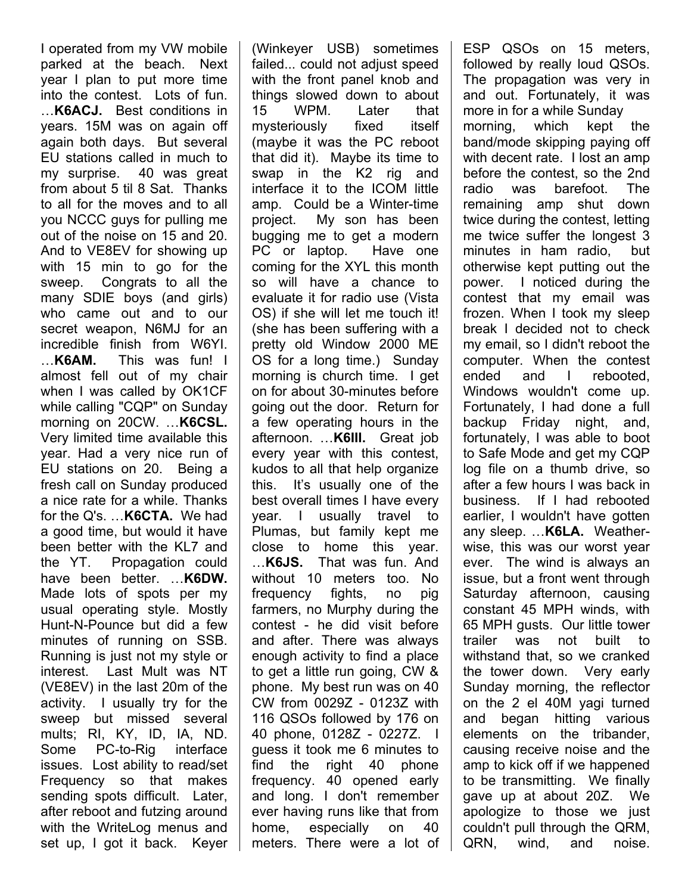I operated from my VW mobile parked at the beach. Next year I plan to put more time into the contest. Lots of fun. …**K6ACJ.** Best conditions in years. 15M was on again off again both days. But several EU stations called in much to my surprise. 40 was great from about 5 til 8 Sat. Thanks to all for the moves and to all you NCCC guys for pulling me out of the noise on 15 and 20. And to VE8EV for showing up with 15 min to go for the sweep. Congrats to all the many SDIE boys (and girls) who came out and to our secret weapon, N6MJ for an incredible finish from W6YI. …**K6AM.** This was fun! I almost fell out of my chair when I was called by OK1CF while calling "CQP" on Sunday morning on 20CW. …**K6CSL.** Very limited time available this year. Had a very nice run of EU stations on 20. Being a fresh call on Sunday produced a nice rate for a while. Thanks for the Q's. …**K6CTA.** We had a good time, but would it have been better with the KL7 and the YT. Propagation could have been better. …**K6DW.** Made lots of spots per my usual operating style. Mostly Hunt-N-Pounce but did a few minutes of running on SSB. Running is just not my style or interest. Last Mult was NT (VE8EV) in the last 20m of the activity. I usually try for the sweep but missed several mults; RI, KY, ID, IA, ND. Some PC-to-Rig interface issues. Lost ability to read/set Frequency so that makes sending spots difficult. Later, after reboot and futzing around with the WriteLog menus and set up, I got it back. Keyer (Winkeyer USB) sometimes failed... could not adjust speed with the front panel knob and things slowed down to about 15 WPM. Later that mysteriously fixed itself (maybe it was the PC reboot that did it). Maybe its time to swap in the K2 rig and interface it to the ICOM little amp. Could be a Winter-time project. My son has been bugging me to get a modern PC or laptop. Have one coming for the XYL this month so will have a chance to evaluate it for radio use (Vista OS) if she will let me touch it! (she has been suffering with a pretty old Window 2000 ME OS for a long time.) Sunday morning is church time. I get on for about 30-minutes before going out the door. Return for a few operating hours in the afternoon. …**K6III.** Great job every year with this contest, kudos to all that help organize this. It's usually one of the best overall times I have every year. I usually travel to Plumas, but family kept me close to home this year. …**K6JS.** That was fun. And without 10 meters too. No frequency fights, no pig farmers, no Murphy during the contest - he did visit before and after. There was always enough activity to find a place to get a little run going, CW & phone. My best run was on 40 CW from 0029Z - 0123Z with 116 QSOs followed by 176 on 40 phone, 0128Z - 0227Z. I guess it took me 6 minutes to find the right 40 phone frequency. 40 opened early and long. I don't remember ever having runs like that from home, especially on 40 meters. There were a lot of

ESP QSOs on 15 meters, followed by really loud QSOs. The propagation was very in and out. Fortunately, it was more in for a while Sunday morning, which kept the band/mode skipping paying off with decent rate. I lost an amp before the contest, so the 2nd radio was barefoot. The remaining amp shut down twice during the contest, letting me twice suffer the longest 3 minutes in ham radio, but otherwise kept putting out the power. I noticed during the contest that my email was frozen. When I took my sleep break I decided not to check my email, so I didn't reboot the computer. When the contest ended and I rebooted, Windows wouldn't come up. Fortunately, I had done a full backup Friday night, and, fortunately, I was able to boot to Safe Mode and get my CQP log file on a thumb drive, so after a few hours I was back in business. If I had rebooted earlier, I wouldn't have gotten any sleep. …**K6LA.** Weatherwise, this was our worst year ever. The wind is always an issue, but a front went through Saturday afternoon, causing constant 45 MPH winds, with 65 MPH gusts. Our little tower trailer was not built to withstand that, so we cranked the tower down. Very early Sunday morning, the reflector on the 2 el 40M yagi turned and began hitting various elements on the tribander, causing receive noise and the amp to kick off if we happened to be transmitting. We finally gave up at about 20Z. We apologize to those we just couldn't pull through the QRM, QRN, wind, and noise.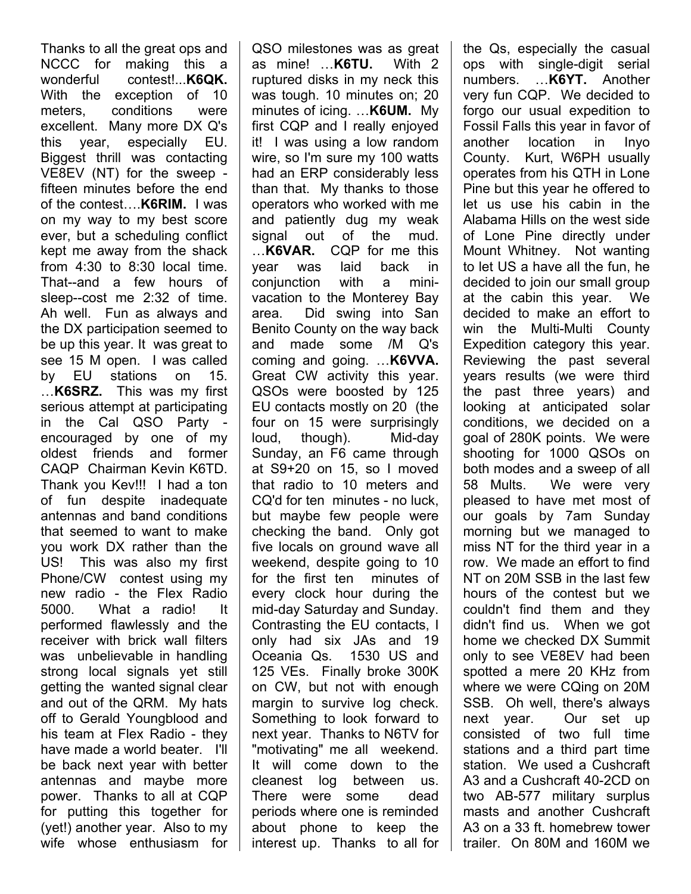Thanks to all the great ops and NCCC for making this a wonderful contest!...**K6QK.** With the exception of 10 meters, conditions were excellent. Many more DX Q's this year, especially EU. Biggest thrill was contacting VE8EV (NT) for the sweep fifteen minutes before the end of the contest….**K6RIM.** I was on my way to my best score ever, but a scheduling conflict kept me away from the shack from 4:30 to 8:30 local time. That--and a few hours of sleep--cost me 2:32 of time. Ah well. Fun as always and the DX participation seemed to be up this year. It was great to see 15 M open. I was called by EU stations on 15. …**K6SRZ.** This was my first serious attempt at participating in the Cal QSO Party encouraged by one of my oldest friends and former CAQP Chairman Kevin K6TD. Thank you Kev!!! I had a ton of fun despite inadequate antennas and band conditions that seemed to want to make you work DX rather than the US! This was also my first Phone/CW contest using my new radio - the Flex Radio 5000. What a radio! It performed flawlessly and the receiver with brick wall filters was unbelievable in handling strong local signals yet still getting the wanted signal clear and out of the QRM. My hats off to Gerald Youngblood and his team at Flex Radio - they have made a world beater. I'll be back next year with better antennas and maybe more power. Thanks to all at CQP for putting this together for (yet!) another year. Also to my wife whose enthusiasm for QSO milestones was as great as mine! …**K6TU.** With 2 ruptured disks in my neck this was tough. 10 minutes on; 20 minutes of icing. …**K6UM.** My first CQP and I really enjoyed it! I was using a low random wire, so I'm sure my 100 watts had an ERP considerably less than that. My thanks to those operators who worked with me and patiently dug my weak signal out of the mud. …**K6VAR.** CQP for me this year was laid back in conjunction with a minivacation to the Monterey Bay area. Did swing into San Benito County on the way back and made some /M Q's coming and going. …**K6VVA.** Great CW activity this year. QSOs were boosted by 125 EU contacts mostly on 20 (the four on 15 were surprisingly loud, though). Mid-day Sunday, an F6 came through at S9+20 on 15, so I moved that radio to 10 meters and CQ'd for ten minutes - no luck, but maybe few people were checking the band. Only got five locals on ground wave all weekend, despite going to 10 for the first ten minutes of every clock hour during the mid-day Saturday and Sunday. Contrasting the EU contacts, I only had six JAs and 19 Oceania Qs. 1530 US and 125 VEs. Finally broke 300K on CW, but not with enough margin to survive log check. Something to look forward to next year. Thanks to N6TV for "motivating" me all weekend. It will come down to the cleanest log between us. There were some dead periods where one is reminded about phone to keep the interest up. Thanks to all for

the Qs, especially the casual ops with single-digit serial numbers. …**K6YT.** Another very fun CQP. We decided to forgo our usual expedition to Fossil Falls this year in favor of another location in Inyo County. Kurt, W6PH usually operates from his QTH in Lone Pine but this year he offered to let us use his cabin in the Alabama Hills on the west side of Lone Pine directly under Mount Whitney. Not wanting to let US a have all the fun, he decided to join our small group at the cabin this year. We decided to make an effort to win the Multi-Multi County Expedition category this year. Reviewing the past several years results (we were third the past three years) and looking at anticipated solar conditions, we decided on a goal of 280K points. We were shooting for 1000 QSOs on both modes and a sweep of all 58 Mults. We were very pleased to have met most of our goals by 7am Sunday morning but we managed to miss NT for the third year in a row. We made an effort to find NT on 20M SSB in the last few hours of the contest but we couldn't find them and they didn't find us. When we got home we checked DX Summit only to see VE8EV had been spotted a mere 20 KHz from where we were CQing on 20M SSB. Oh well, there's always next year. Our set up consisted of two full time stations and a third part time station. We used a Cushcraft A3 and a Cushcraft 40-2CD on two AB-577 military surplus masts and another Cushcraft A3 on a 33 ft. homebrew tower trailer. On 80M and 160M we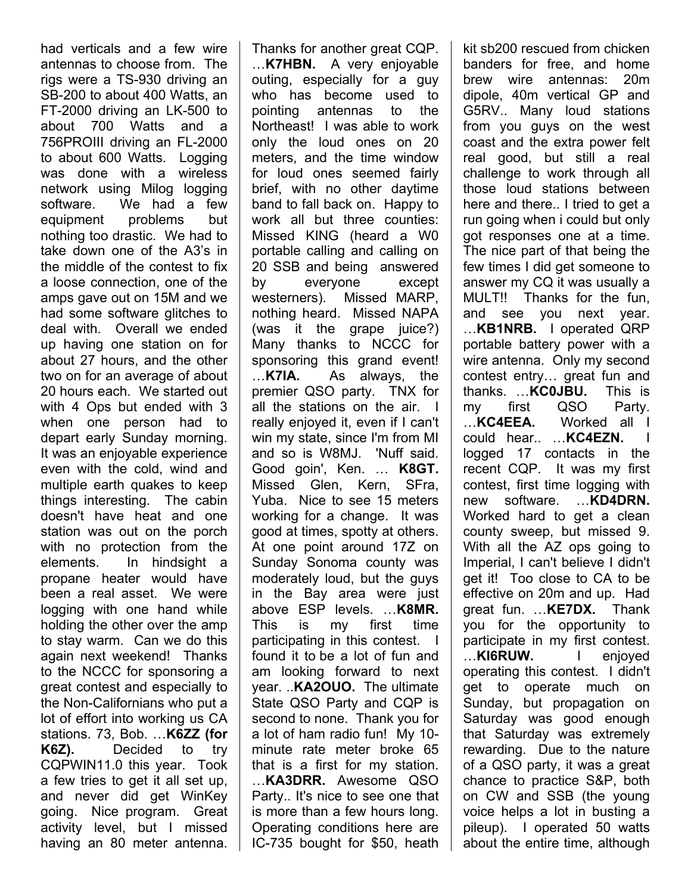had verticals and a few wire antennas to choose from. The rigs were a TS-930 driving an SB-200 to about 400 Watts, an FT-2000 driving an LK-500 to about 700 Watts and a 756PROIII driving an FL-2000 to about 600 Watts. Logging was done with a wireless network using Milog logging software. We had a few equipment problems but nothing too drastic. We had to take down one of the A3's in the middle of the contest to fix a loose connection, one of the amps gave out on 15M and we had some software glitches to deal with. Overall we ended up having one station on for about 27 hours, and the other two on for an average of about 20 hours each. We started out with 4 Ops but ended with 3 when one person had to depart early Sunday morning. It was an enjoyable experience even with the cold, wind and multiple earth quakes to keep things interesting. The cabin doesn't have heat and one station was out on the porch with no protection from the elements. In hindsight a propane heater would have been a real asset. We were logging with one hand while holding the other over the amp to stay warm. Can we do this again next weekend! Thanks to the NCCC for sponsoring a great contest and especially to the Non-Californians who put a lot of effort into working us CA stations. 73, Bob. …**K6ZZ (for K6Z).** Decided to try CQPWIN11.0 this year. Took a few tries to get it all set up, and never did get WinKey going. Nice program. Great activity level, but I missed having an 80 meter antenna. Thanks for another great CQP. …**K7HBN.** A very enjoyable outing, especially for a guy who has become used to pointing antennas to the Northeast! I was able to work only the loud ones on 20 meters, and the time window for loud ones seemed fairly brief, with no other daytime band to fall back on. Happy to work all but three counties: Missed KING (heard a W0 portable calling and calling on 20 SSB and being answered by everyone except westerners). Missed MARP, nothing heard. Missed NAPA (was it the grape juice?) Many thanks to NCCC for sponsoring this grand event! …**K7IA.** As always, the premier QSO party. TNX for all the stations on the air. I really enjoyed it, even if I can't win my state, since I'm from MI and so is W8MJ. 'Nuff said. Good goin', Ken. … **K8GT.** Missed Glen, Kern, SFra, Yuba. Nice to see 15 meters working for a change. It was good at times, spotty at others. At one point around 17Z on Sunday Sonoma county was moderately loud, but the guys in the Bay area were just above ESP levels. …**K8MR.** This is my first time participating in this contest. I found it to be a lot of fun and am looking forward to next year. ..**KA2OUO.** The ultimate State QSO Party and CQP is second to none. Thank you for a lot of ham radio fun! My 10 minute rate meter broke 65 that is a first for my station. …**KA3DRR.** Awesome QSO Party.. It's nice to see one that is more than a few hours long. Operating conditions here are IC-735 bought for \$50, heath

kit sb200 rescued from chicken banders for free, and home brew wire antennas: 20m dipole, 40m vertical GP and G5RV.. Many loud stations from you guys on the west coast and the extra power felt real good, but still a real challenge to work through all those loud stations between here and there.. I tried to get a run going when i could but only got responses one at a time. The nice part of that being the few times I did get someone to answer my CQ it was usually a MULT!! Thanks for the fun, and see you next year. …**KB1NRB.** I operated QRP portable battery power with a wire antenna. Only my second contest entry… great fun and thanks. …**KC0JBU.** This is my first QSO Party. …**KC4EEA.** Worked all I could hear.. …**KC4EZN.** I logged 17 contacts in the recent CQP. It was my first contest, first time logging with new software. …**KD4DRN.** Worked hard to get a clean county sweep, but missed 9. With all the AZ ops going to Imperial, I can't believe I didn't get it! Too close to CA to be effective on 20m and up. Had great fun. …**KE7DX.** Thank you for the opportunity to participate in my first contest. …**KI6RUW.** I enjoyed operating this contest. I didn't get to operate much on Sunday, but propagation on Saturday was good enough that Saturday was extremely rewarding. Due to the nature of a QSO party, it was a great chance to practice S&P, both on CW and SSB (the young voice helps a lot in busting a pileup). I operated 50 watts about the entire time, although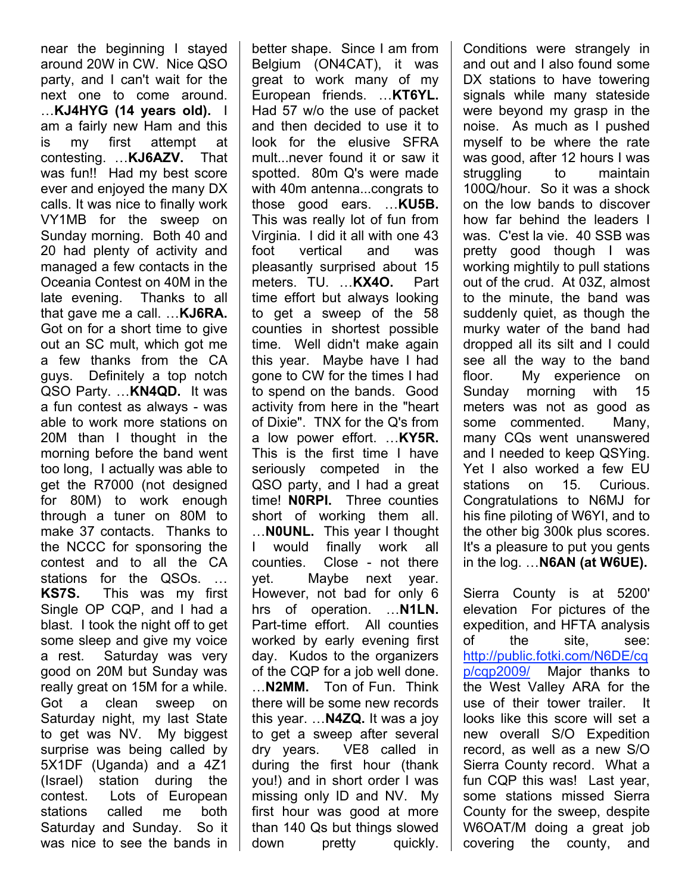near the beginning I stayed around 20W in CW. Nice QSO party, and I can't wait for the next one to come around. …**KJ4HYG (14 years old).** I am a fairly new Ham and this is my first attempt at contesting. …**KJ6AZV.** That was fun!! Had my best score ever and enjoyed the many DX calls. It was nice to finally work VY1MB for the sweep on Sunday morning. Both 40 and 20 had plenty of activity and managed a few contacts in the Oceania Contest on 40M in the late evening. Thanks to all that gave me a call. …**KJ6RA.** Got on for a short time to give out an SC mult, which got me a few thanks from the CA guys. Definitely a top notch QSO Party. …**KN4QD.** It was a fun contest as always - was able to work more stations on 20M than I thought in the morning before the band went too long, I actually was able to get the R7000 (not designed for 80M) to work enough through a tuner on 80M to make 37 contacts. Thanks to the NCCC for sponsoring the contest and to all the CA stations for the QSOs. … **KS7S.** This was my first Single OP CQP, and I had a blast. I took the night off to get some sleep and give my voice a rest. Saturday was very good on 20M but Sunday was really great on 15M for a while. Got a clean sweep on Saturday night, my last State to get was NV. My biggest surprise was being called by 5X1DF (Uganda) and a 4Z1 (Israel) station during the contest. Lots of European stations called me both Saturday and Sunday. So it was nice to see the bands in better shape. Since I am from Belgium (ON4CAT), it was great to work many of my European friends. …**KT6YL.** Had 57 w/o the use of packet and then decided to use it to look for the elusive SFRA mult...never found it or saw it spotted. 80m Q's were made with 40m antenna...congrats to those good ears. …**KU5B.** This was really lot of fun from Virginia. I did it all with one 43 foot vertical and was pleasantly surprised about 15 meters. TU. …**KX4O.** Part time effort but always looking to get a sweep of the 58 counties in shortest possible time. Well didn't make again this year. Maybe have I had gone to CW for the times I had to spend on the bands. Good activity from here in the "heart of Dixie". TNX for the Q's from a low power effort. …**KY5R.** This is the first time I have seriously competed in the QSO party, and I had a great time! **N0RPI.** Three counties short of working them all. …**N0UNL.** This year I thought I would finally work all counties. Close - not there yet. Maybe next year. However, not bad for only 6 hrs of operation. …**N1LN.** Part-time effort. All counties worked by early evening first day. Kudos to the organizers of the CQP for a job well done. …**N2MM.** Ton of Fun. Think there will be some new records this year. …**N4ZQ.** It was a joy to get a sweep after several dry years. VE8 called in during the first hour (thank you!) and in short order I was missing only ID and NV. My first hour was good at more than 140 Qs but things slowed down pretty quickly.

Conditions were strangely in and out and I also found some DX stations to have towering signals while many stateside were beyond my grasp in the noise. As much as I pushed myself to be where the rate was good, after 12 hours I was struggling to maintain 100Q/hour. So it was a shock on the low bands to discover how far behind the leaders I was. C'est la vie. 40 SSB was pretty good though I was working mightily to pull stations out of the crud. At 03Z, almost to the minute, the band was suddenly quiet, as though the murky water of the band had dropped all its silt and I could see all the way to the band floor. My experience on Sunday morning with 15 meters was not as good as some commented. Many, many CQs went unanswered and I needed to keep QSYing. Yet I also worked a few EU stations on 15. Curious. Congratulations to N6MJ for his fine piloting of W6YI, and to the other big 300k plus scores. It's a pleasure to put you gents in the log. …**N6AN (at W6UE).** 

Sierra County is at 5200' elevation For pictures of the expedition, and HFTA analysis of the site, see: http://public.fotki.com/N6DE/cq p/cqp2009/ Major thanks to the West Valley ARA for the use of their tower trailer. It looks like this score will set a new overall S/O Expedition record, as well as a new S/O Sierra County record. What a fun CQP this was! Last year, some stations missed Sierra County for the sweep, despite W6OAT/M doing a great job covering the county, and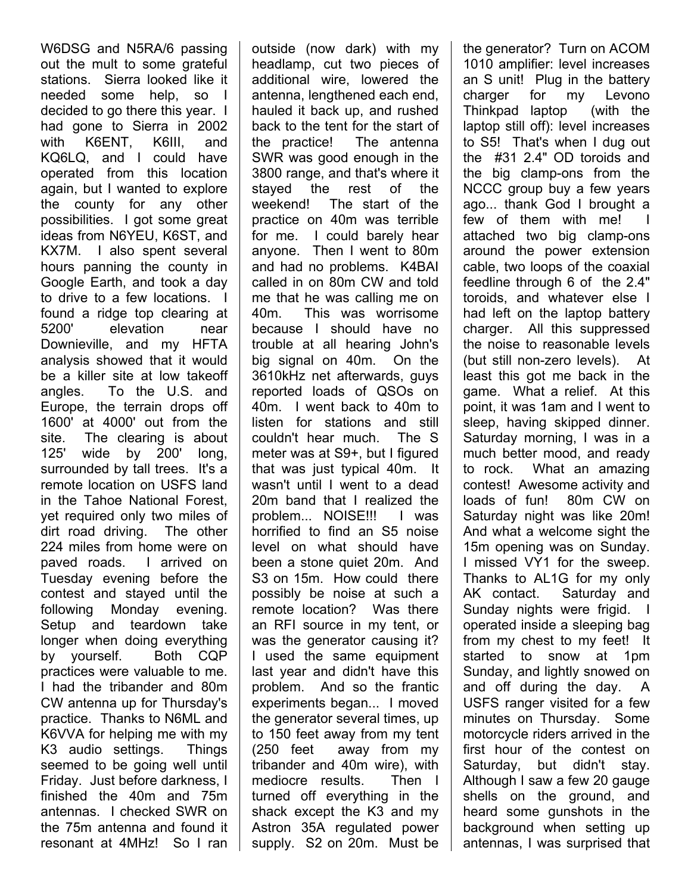W6DSG and N5RA/6 passing out the mult to some grateful stations. Sierra looked like it needed some help, so I decided to go there this year. I had gone to Sierra in 2002 with K6ENT, K6III, and KQ6LQ, and I could have operated from this location again, but I wanted to explore the county for any other possibilities. I got some great ideas from N6YEU, K6ST, and KX7M. I also spent several hours panning the county in Google Earth, and took a day to drive to a few locations. I found a ridge top clearing at 5200' elevation near Downieville, and my HFTA analysis showed that it would be a killer site at low takeoff angles. To the U.S. and Europe, the terrain drops off 1600' at 4000' out from the site. The clearing is about 125' wide by 200' long, surrounded by tall trees. It's a remote location on USFS land in the Tahoe National Forest, yet required only two miles of dirt road driving. The other 224 miles from home were on paved roads. I arrived on Tuesday evening before the contest and stayed until the following Monday evening. Setup and teardown take longer when doing everything by yourself. Both CQP practices were valuable to me. I had the tribander and 80m CW antenna up for Thursday's practice. Thanks to N6ML and K6VVA for helping me with my K3 audio settings. Things seemed to be going well until Friday. Just before darkness, I finished the 40m and 75m antennas. I checked SWR on the 75m antenna and found it resonant at 4MHz! So I ran outside (now dark) with my headlamp, cut two pieces of additional wire, lowered the antenna, lengthened each end, hauled it back up, and rushed back to the tent for the start of the practice! The antenna SWR was good enough in the 3800 range, and that's where it stayed the rest of the weekend! The start of the practice on 40m was terrible for me. I could barely hear anyone. Then I went to 80m and had no problems. K4BAI called in on 80m CW and told me that he was calling me on 40m. This was worrisome because I should have no trouble at all hearing John's big signal on 40m. On the 3610kHz net afterwards, guys reported loads of QSOs on 40m. I went back to 40m to listen for stations and still couldn't hear much. The S meter was at S9+, but I figured that was just typical 40m. It wasn't until I went to a dead 20m band that I realized the problem... NOISE!!! I was horrified to find an S5 noise level on what should have been a stone quiet 20m. And S3 on 15m. How could there possibly be noise at such a remote location? Was there an RFI source in my tent, or was the generator causing it? I used the same equipment last year and didn't have this problem. And so the frantic experiments began... I moved the generator several times, up to 150 feet away from my tent (250 feet away from my tribander and 40m wire), with mediocre results. Then I turned off everything in the shack except the K3 and my Astron 35A regulated power supply. S2 on 20m. Must be

the generator? Turn on ACOM 1010 amplifier: level increases an S unit! Plug in the battery charger for my Levono Thinkpad laptop (with the laptop still off): level increases to S5! That's when I dug out the #31 2.4" OD toroids and the big clamp-ons from the NCCC group buy a few years ago... thank God I brought a few of them with me! I attached two big clamp-ons around the power extension cable, two loops of the coaxial feedline through 6 of the 2.4" toroids, and whatever else I had left on the laptop battery charger. All this suppressed the noise to reasonable levels (but still non-zero levels). At least this got me back in the game. What a relief. At this point, it was 1am and I went to sleep, having skipped dinner. Saturday morning, I was in a much better mood, and ready to rock. What an amazing contest! Awesome activity and loads of fun! 80m CW on Saturday night was like 20m! And what a welcome sight the 15m opening was on Sunday. I missed VY1 for the sweep. Thanks to AL1G for my only AK contact. Saturday and Sunday nights were frigid. I operated inside a sleeping bag from my chest to my feet! It started to snow at 1pm Sunday, and lightly snowed on and off during the day. A USFS ranger visited for a few minutes on Thursday. Some motorcycle riders arrived in the first hour of the contest on Saturday, but didn't stay. Although I saw a few 20 gauge shells on the ground, and heard some gunshots in the background when setting up antennas, I was surprised that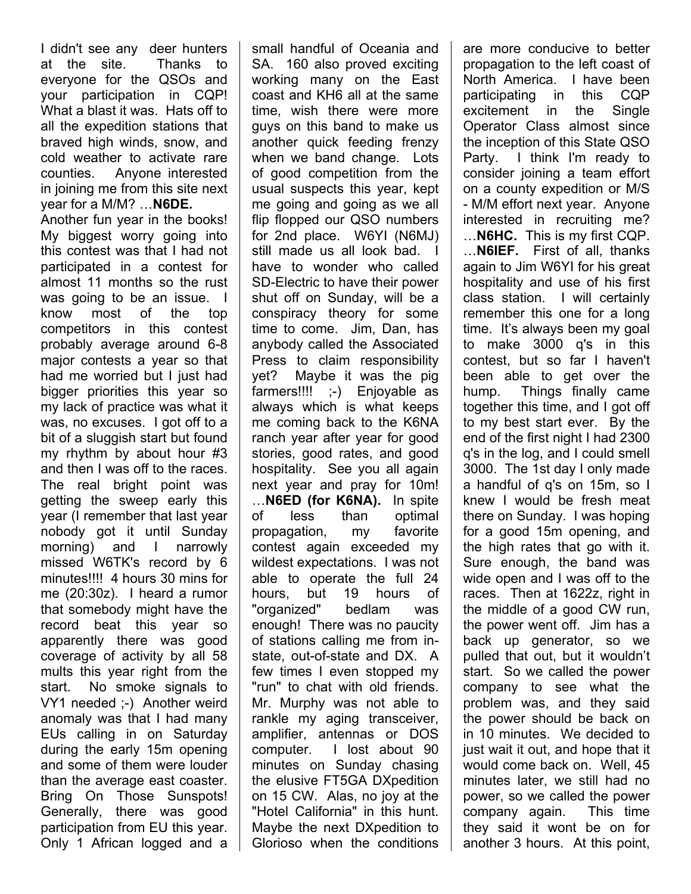I didn't see any deer hunters at the site. Thanks to everyone for the QSOs and your participation in CQP! What a blast it was. Hats off to all the expedition stations that braved high winds, snow, and cold weather to activate rare counties. Anyone interested in joining me from this site next year for a M/M? …**N6DE.** Another fun year in the books! My biggest worry going into this contest was that I had not participated in a contest for almost 11 months so the rust was going to be an issue. I know most of the top competitors in this contest probably average around 6-8 major contests a year so that had me worried but I just had bigger priorities this year so my lack of practice was what it was, no excuses. I got off to a bit of a sluggish start but found my rhythm by about hour #3 and then I was off to the races. The real bright point was getting the sweep early this year (I remember that last year nobody got it until Sunday morning) and I narrowly missed W6TK's record by 6 minutes!!!! 4 hours 30 mins for me (20:30z). I heard a rumor that somebody might have the record beat this year so apparently there was good coverage of activity by all 58 mults this year right from the start. No smoke signals to VY1 needed ;-) Another weird anomaly was that I had many EUs calling in on Saturday during the early 15m opening and some of them were louder than the average east coaster. Bring On Those Sunspots! Generally, there was good participation from EU this year. Only 1 African logged and a small handful of Oceania and SA. 160 also proved exciting working many on the East coast and KH6 all at the same time, wish there were more guys on this band to make us another quick feeding frenzy when we band change. Lots of good competition from the usual suspects this year, kept me going and going as we all flip flopped our QSO numbers for 2nd place. W6YI (N6MJ) still made us all look bad. I have to wonder who called SD-Electric to have their power shut off on Sunday, will be a conspiracy theory for some time to come. Jim, Dan, has anybody called the Associated Press to claim responsibility yet? Maybe it was the pig farmers!!!! ;-) Enjoyable as always which is what keeps me coming back to the K6NA ranch year after year for good stories, good rates, and good hospitality. See you all again next year and pray for 10m! …**N6ED (for K6NA).** In spite of less than optimal propagation, my favorite contest again exceeded my wildest expectations. I was not able to operate the full 24 hours, but 19 hours of "organized" bedlam was enough! There was no paucity of stations calling me from instate, out-of-state and DX. A few times I even stopped my "run" to chat with old friends. Mr. Murphy was not able to rankle my aging transceiver, amplifier, antennas or DOS computer. I lost about 90 minutes on Sunday chasing the elusive FT5GA DXpedition on 15 CW. Alas, no joy at the "Hotel California" in this hunt. Maybe the next DXpedition to Glorioso when the conditions are more conducive to better propagation to the left coast of North America. I have been participating in this CQP excitement in the Single Operator Class almost since the inception of this State QSO Party. I think I'm ready to consider joining a team effort on a county expedition or M/S - M/M effort next year. Anyone interested in recruiting me? …**N6HC.** This is my first CQP. …**N6IEF.** First of all, thanks again to Jim W6YI for his great hospitality and use of his first class station. I will certainly remember this one for a long time. It's always been my goal to make 3000 q's in this contest, but so far I haven't been able to get over the hump. Things finally came together this time, and I got off to my best start ever. By the end of the first night I had 2300 q's in the log, and I could smell 3000. The 1st day I only made a handful of q's on 15m, so I knew I would be fresh meat there on Sunday. I was hoping for a good 15m opening, and the high rates that go with it. Sure enough, the band was wide open and I was off to the races. Then at 1622z, right in the middle of a good CW run, the power went off. Jim has a back up generator, so we pulled that out, but it wouldn't start. So we called the power company to see what the problem was, and they said the power should be back on in 10 minutes. We decided to just wait it out, and hope that it would come back on. Well, 45 minutes later, we still had no power, so we called the power company again. This time they said it wont be on for another 3 hours. At this point,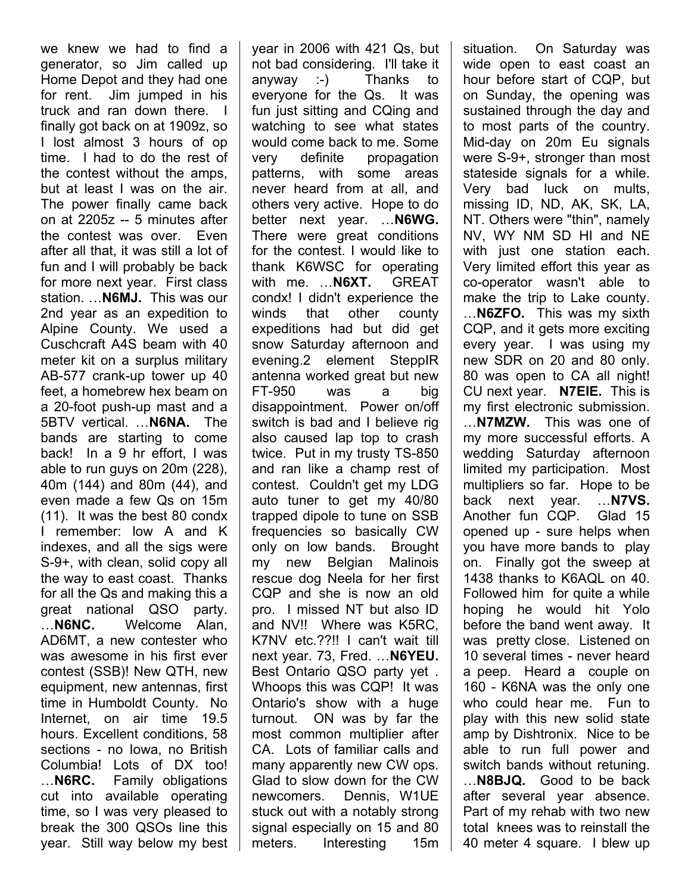we knew we had to find a generator, so Jim called up Home Depot and they had one for rent. Jim jumped in his truck and ran down there. I finally got back on at 1909z, so I lost almost 3 hours of op time. I had to do the rest of the contest without the amps, but at least I was on the air. The power finally came back on at 2205z -- 5 minutes after the contest was over. Even after all that, it was still a lot of fun and I will probably be back for more next year. First class station. …**N6MJ.** This was our 2nd year as an expedition to Alpine County. We used a Cuschcraft A4S beam with 40 meter kit on a surplus military AB-577 crank-up tower up 40 feet, a homebrew hex beam on a 20-foot push-up mast and a 5BTV vertical. …**N6NA.** The bands are starting to come back! In a 9 hr effort, I was able to run guys on 20m (228), 40m (144) and 80m (44), and even made a few Qs on 15m (11). It was the best 80 condx I remember: low A and K indexes, and all the sigs were S-9+, with clean, solid copy all the way to east coast. Thanks for all the Qs and making this a great national QSO party. …**N6NC.** Welcome Alan, AD6MT, a new contester who was awesome in his first ever contest (SSB)! New QTH, new equipment, new antennas, first time in Humboldt County. No Internet, on air time 19.5 hours. Excellent conditions, 58 sections - no Iowa, no British Columbia! Lots of DX too! …**N6RC.** Family obligations cut into available operating time, so I was very pleased to break the 300 QSOs line this year. Still way below my best year in 2006 with 421 Qs, but not bad considering. I'll take it anyway :-) Thanks to everyone for the Qs. It was fun just sitting and CQing and watching to see what states would come back to me. Some very definite propagation patterns, with some areas never heard from at all, and others very active. Hope to do better next year. …**N6WG.** There were great conditions for the contest. I would like to thank K6WSC for operating with me. …**N6XT.** GREAT condx! I didn't experience the winds that other county expeditions had but did get snow Saturday afternoon and evening.2 element SteppIR antenna worked great but new FT-950 was a big disappointment. Power on/off switch is bad and I believe rig also caused lap top to crash twice. Put in my trusty TS-850 and ran like a champ rest of contest. Couldn't get my LDG auto tuner to get my 40/80 trapped dipole to tune on SSB frequencies so basically CW only on low bands. Brought my new Belgian Malinois rescue dog Neela for her first CQP and she is now an old pro. I missed NT but also ID and NV!! Where was K5RC, K7NV etc.??!! I can't wait till next year. 73, Fred. …**N6YEU.** Best Ontario QSO party yet . Whoops this was CQP! It was Ontario's show with a huge turnout. ON was by far the most common multiplier after CA. Lots of familiar calls and many apparently new CW ops. Glad to slow down for the CW newcomers. Dennis, W1UE stuck out with a notably strong signal especially on 15 and 80 meters. Interesting 15m

situation. On Saturday was wide open to east coast an hour before start of CQP, but on Sunday, the opening was sustained through the day and to most parts of the country. Mid-day on 20m Eu signals were S-9+, stronger than most stateside signals for a while. Very bad luck on mults, missing ID, ND, AK, SK, LA, NT. Others were "thin", namely NV, WY NM SD HI and NE with just one station each. Very limited effort this year as co-operator wasn't able to make the trip to Lake county.

…**N6ZFO.** This was my sixth CQP, and it gets more exciting every year. I was using my new SDR on 20 and 80 only. 80 was open to CA all night! CU next year. **N7EIE.** This is my first electronic submission. …**N7MZW.** This was one of my more successful efforts. A wedding Saturday afternoon limited my participation. Most multipliers so far. Hope to be back next year. …**N7VS.**  Another fun CQP. Glad 15 opened up - sure helps when you have more bands to play on. Finally got the sweep at 1438 thanks to K6AQL on 40. Followed him for quite a while hoping he would hit Yolo before the band went away. It was pretty close. Listened on 10 several times - never heard a peep. Heard a couple on 160 - K6NA was the only one who could hear me. Fun to play with this new solid state amp by Dishtronix. Nice to be able to run full power and switch bands without retuning. …**N8BJQ.** Good to be back after several year absence. Part of my rehab with two new total knees was to reinstall the

40 meter 4 square. I blew up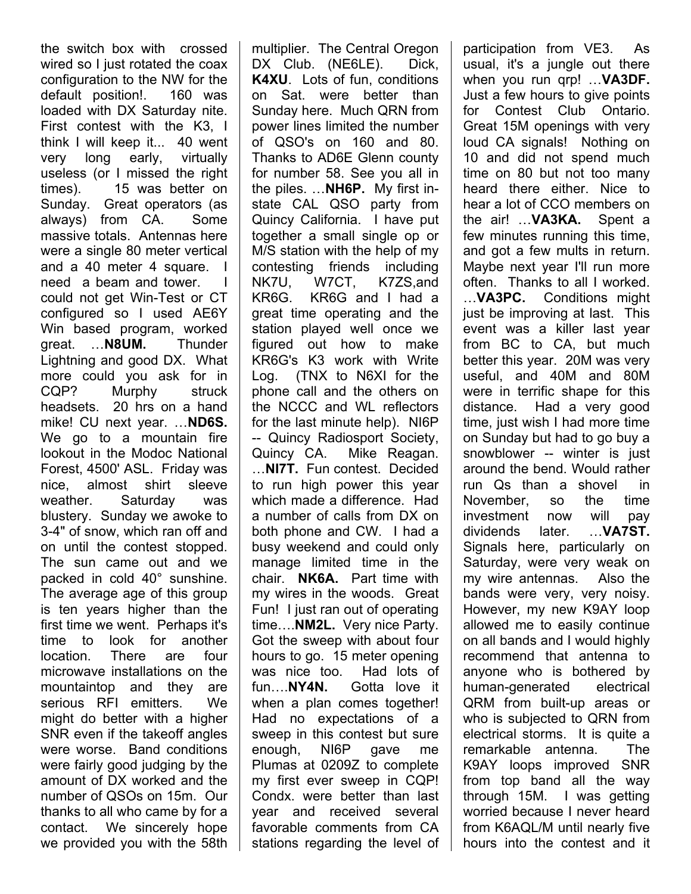the switch box with crossed wired so I just rotated the coax configuration to the NW for the default position!. 160 was loaded with DX Saturday nite. First contest with the K3, I think I will keep it... 40 went very long early, virtually useless (or I missed the right times). 15 was better on Sunday. Great operators (as always) from CA. Some massive totals. Antennas here were a single 80 meter vertical and a 40 meter 4 square. I need a beam and tower. I could not get Win-Test or CT configured so I used AE6Y Win based program, worked great. …**N8UM.** Thunder Lightning and good DX. What more could you ask for in CQP? Murphy struck headsets. 20 hrs on a hand mike! CU next year. …**ND6S.** We go to a mountain fire lookout in the Modoc National Forest, 4500' ASL. Friday was nice, almost shirt sleeve weather. Saturday was blustery. Sunday we awoke to 3-4" of snow, which ran off and on until the contest stopped. The sun came out and we packed in cold 40° sunshine. The average age of this group is ten years higher than the first time we went. Perhaps it's time to look for another location. There are four microwave installations on the mountaintop and they are serious RFI emitters. We might do better with a higher SNR even if the takeoff angles were worse. Band conditions were fairly good judging by the amount of DX worked and the number of QSOs on 15m. Our thanks to all who came by for a contact. We sincerely hope we provided you with the 58th multiplier. The Central Oregon DX Club. (NE6LE). Dick, **K4XU**. Lots of fun, conditions on Sat. were better than Sunday here. Much QRN from power lines limited the number of QSO's on 160 and 80. Thanks to AD6E Glenn county for number 58. See you all in the piles. …**NH6P.** My first instate CAL QSO party from Quincy California. I have put together a small single op or M/S station with the help of my contesting friends including NK7U, W7CT, K7ZS,and KR6G. KR6G and I had a great time operating and the station played well once we figured out how to make KR6G's K3 work with Write Log. (TNX to N6XI for the phone call and the others on the NCCC and WL reflectors for the last minute help). NI6P -- Quincy Radiosport Society, Quincy CA. Mike Reagan. …**NI7T.** Fun contest. Decided to run high power this year which made a difference. Had a number of calls from DX on both phone and CW. I had a busy weekend and could only manage limited time in the chair. **NK6A.** Part time with my wires in the woods. Great Fun! I just ran out of operating time….**NM2L.** Very nice Party. Got the sweep with about four hours to go. 15 meter opening was nice too. Had lots of fun….**NY4N.** Gotta love it when a plan comes together! Had no expectations of a sweep in this contest but sure enough, NI6P gave me Plumas at 0209Z to complete my first ever sweep in CQP! Condx. were better than last year and received several favorable comments from CA stations regarding the level of

participation from VE3. As usual, it's a jungle out there when you run qrp! …**VA3DF.** Just a few hours to give points for Contest Club Ontario. Great 15M openings with very loud CA signals! Nothing on 10 and did not spend much time on 80 but not too many heard there either. Nice to hear a lot of CCO members on the air! …**VA3KA.** Spent a few minutes running this time, and got a few mults in return. Maybe next year I'll run more often. Thanks to all I worked. …**VA3PC.** Conditions might just be improving at last. This event was a killer last year from BC to CA, but much better this year. 20M was very useful, and 40M and 80M were in terrific shape for this distance. Had a very good time, just wish I had more time on Sunday but had to go buy a snowblower -- winter is just around the bend. Would rather run Qs than a shovel in November, so the time investment now will pay dividends later. …**VA7ST.** Signals here, particularly on Saturday, were very weak on my wire antennas. Also the bands were very, very noisy. However, my new K9AY loop allowed me to easily continue on all bands and I would highly recommend that antenna to anyone who is bothered by human-generated electrical QRM from built-up areas or who is subjected to QRN from electrical storms. It is quite a remarkable antenna. The K9AY loops improved SNR from top band all the way through 15M. I was getting worried because I never heard from K6AQL/M until nearly five hours into the contest and it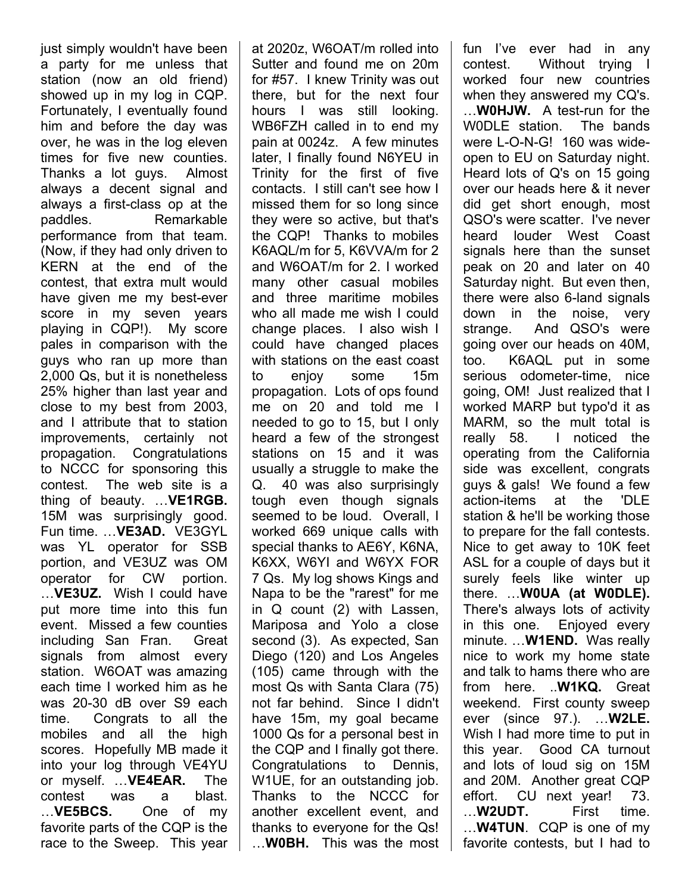just simply wouldn't have been a party for me unless that station (now an old friend) showed up in my log in CQP. Fortunately, I eventually found him and before the day was over, he was in the log eleven times for five new counties. Thanks a lot guys. Almost always a decent signal and always a first-class op at the paddles. Remarkable performance from that team. (Now, if they had only driven to KERN at the end of the contest, that extra mult would have given me my best-ever score in my seven years playing in CQP!). My score pales in comparison with the guys who ran up more than 2,000 Qs, but it is nonetheless 25% higher than last year and close to my best from 2003, and I attribute that to station improvements, certainly not propagation. Congratulations to NCCC for sponsoring this contest. The web site is a thing of beauty. …**VE1RGB.** 15M was surprisingly good. Fun time. …**VE3AD.** VE3GYL was YL operator for SSB portion, and VE3UZ was OM operator for CW portion. …**VE3UZ.** Wish I could have put more time into this fun event. Missed a few counties including San Fran. Great signals from almost every station. W6OAT was amazing each time I worked him as he was 20-30 dB over S9 each time. Congrats to all the mobiles and all the high scores. Hopefully MB made it into your log through VE4YU or myself. …**VE4EAR.** The contest was a blast. …**VE5BCS.** One of my favorite parts of the CQP is the race to the Sweep. This year

at 2020z, W6OAT/m rolled into Sutter and found me on 20m for #57. I knew Trinity was out there, but for the next four hours I was still looking. WB6FZH called in to end my pain at 0024z. A few minutes later, I finally found N6YEU in Trinity for the first of five contacts. I still can't see how I missed them for so long since they were so active, but that's the CQP! Thanks to mobiles K6AQL/m for 5, K6VVA/m for 2 and W6OAT/m for 2. I worked many other casual mobiles and three maritime mobiles who all made me wish I could change places. I also wish I could have changed places with stations on the east coast to enjoy some 15m propagation. Lots of ops found me on 20 and told me I needed to go to 15, but I only heard a few of the strongest stations on 15 and it was usually a struggle to make the Q. 40 was also surprisingly tough even though signals seemed to be loud. Overall, I worked 669 unique calls with special thanks to AE6Y, K6NA, K6XX, W6YI and W6YX FOR 7 Qs. My log shows Kings and Napa to be the "rarest" for me in Q count (2) with Lassen, Mariposa and Yolo a close second (3). As expected, San Diego (120) and Los Angeles (105) came through with the most Qs with Santa Clara (75) not far behind. Since I didn't have 15m, my goal became 1000 Qs for a personal best in the CQP and I finally got there. Congratulations to Dennis, W1UE, for an outstanding job. Thanks to the NCCC for another excellent event, and thanks to everyone for the Qs! …**W0BH.** This was the most

fun I've ever had in any contest. Without trying I worked four new countries when they answered my CQ's. …**W0HJW.** A test-run for the W0DLE station. The bands were L-O-N-G! 160 was wideopen to EU on Saturday night. Heard lots of Q's on 15 going over our heads here & it never did get short enough, most QSO's were scatter. I've never heard louder West Coast signals here than the sunset peak on 20 and later on 40 Saturday night. But even then, there were also 6-land signals down in the noise, very strange. And QSO's were going over our heads on 40M, too. K6AQL put in some serious odometer-time, nice going, OM! Just realized that I worked MARP but typo'd it as MARM, so the mult total is really 58. I noticed the operating from the California side was excellent, congrats guys & gals! We found a few action-items at the 'DLE station & he'll be working those to prepare for the fall contests. Nice to get away to 10K feet ASL for a couple of days but it surely feels like winter up there. …**W0UA (at W0DLE).** There's always lots of activity in this one. Enjoyed every minute. …**W1END.** Was really nice to work my home state and talk to hams there who are from here. ..**W1KQ.** Great weekend. First county sweep ever (since 97.). …**W2LE.** Wish I had more time to put in this year. Good CA turnout and lots of loud sig on 15M and 20M. Another great CQP effort. CU next year! 73. …**W2UDT.** First time. …**W4TUN**. CQP is one of my favorite contests, but I had to